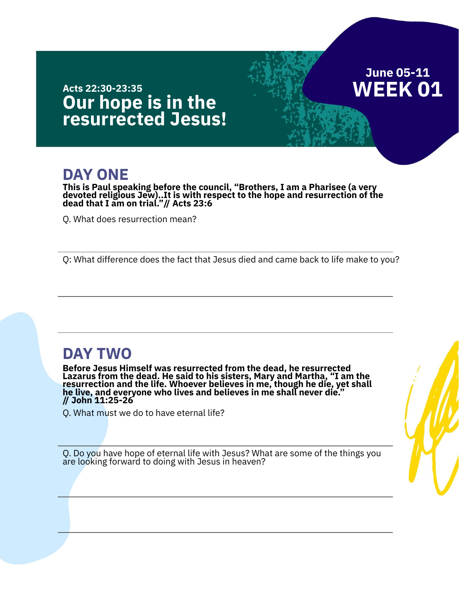## **June 05-11 WEEK 01**

#### **Our hope is in the resurrected Jesus! Acts 22:30-23:35**

## **DAY ONE**

**This is Paul speaking before the council, "Brothers, I am a Pharisee (a very devoted religious Jew)..It is with respect to the hope and resurrection of the dead that I am on trial."// Acts 23:6**

Q. What does resurrection mean?

Q: What difference does the fact that Jesus died and came back to life make to you?

### **DAY TWO**

**Before Jesus Himself was resurrected from the dead, he resurrected Lazarus from the dead. He said to his sisters, Mary and Martha, "I am the resurrection and the life. Whoever believes in me, though he die, yet shall he live, and everyone who lives and believes in me shall never die." // John 11:25-26**

Q. What must we do to have eternal life?

Q. Do you have hope of eternal life with Jesus? What are some of the things you are looking forward to doing with Jesus in heaven?